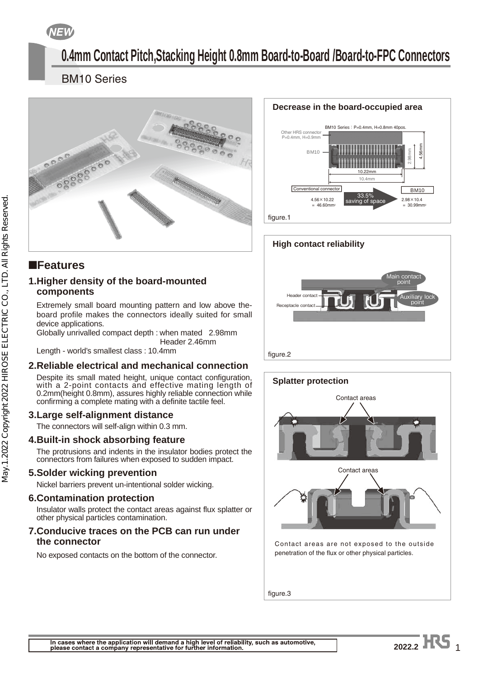**NEW** 

# **0.4mm Contact Pitch,Stacking Height 0.8mm Board-to-Board /Board-to-FPC Connectors**

#### **BM10 Series** BM10 Series



### ■**Features**

#### **1. Higher density of the board-mounted components**

Extremely small board mounting pattern and low above theboard profile makes the connectors ideally suited for small device applications.

Globally unrivalled compact depth : when mated 2.98mm Header 2.46mm

Length - world's smallest class : 10.4mm

### **2. Reliable electrical and mechanical connection**

Despite its small mated height, unique contact configuration, with a 2-point contacts and effective mating length of 0.2mm(height 0.8mm), assures highly reliable connection while confirming a complete mating with a definite tactile feel.

### **3. Large self-alignment distance**

The connectors will self-align within 0.3 mm.

### **4. Built-in shock absorbing feature**

The protrusions and indents in the insulator bodies protect the connectors from failures when exposed to sudden impact.

### **5. Solder wicking prevention**

Nickel barriers prevent un-intentional solder wicking.

### **6. Contamination protection**

Insulator walls protect the contact areas against flux splatter or other physical particles contamination.

#### **7. Conducive traces on the PCB can run under the connector**

No exposed contacts on the bottom of the connector.

### **Decrease in the board-occupied area** BM10 Series:  $P=0.4$ mm,  $H=0.8$ mm 40pos. P=0.4mm, H=0.9mm 4.56mm **BM10**







figure.3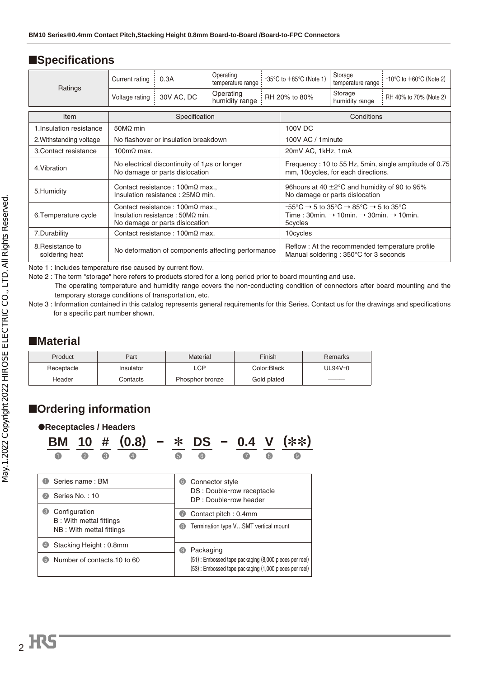## ■**Specifications**

|                                    | Current rating                                                                                                              | 0.3A                                           | Operating<br>temperature range |  | $-35^{\circ}$ C to $+85^{\circ}$ C (Note 1)                                                                                                                                                                   | Storage<br>temperature range | $-10^{\circ}$ C to $+60^{\circ}$ C (Note 2) |  |  |
|------------------------------------|-----------------------------------------------------------------------------------------------------------------------------|------------------------------------------------|--------------------------------|--|---------------------------------------------------------------------------------------------------------------------------------------------------------------------------------------------------------------|------------------------------|---------------------------------------------|--|--|
| Ratings                            | Voltage rating                                                                                                              | 30V AC, DC                                     | Operating<br>humidity range    |  | RH 20% to 80%                                                                                                                                                                                                 | Storage<br>humidity range    | RH 40% to 70% (Note 2)                      |  |  |
| Item                               | Specification                                                                                                               |                                                |                                |  | Conditions                                                                                                                                                                                                    |                              |                                             |  |  |
| 1. Insulation resistance           | 50 $M\Omega$ min                                                                                                            |                                                |                                |  | 100V DC                                                                                                                                                                                                       |                              |                                             |  |  |
| 2. Withstanding voltage            |                                                                                                                             | No flashover or insulation breakdown           |                                |  | 100V AC / 1 minute                                                                                                                                                                                            |                              |                                             |  |  |
| 3. Contact resistance              | 100 $m\Omega$ max.                                                                                                          |                                                |                                |  | 20mV AC, 1kHz, 1mA                                                                                                                                                                                            |                              |                                             |  |  |
| 4. Vibration                       | No electrical discontinuity of $1\mu s$ or longer<br>No damage or parts dislocation                                         |                                                |                                |  | Frequency: 10 to 55 Hz, 5min, single amplitude of 0.75<br>mm, 10 cycles, for each directions.                                                                                                                 |                              |                                             |  |  |
| 5. Humidity                        | Contact resistance : $100 \text{m}\Omega$ max.,<br>Insulation resistance: $25M\Omega$ min.                                  |                                                |                                |  | 96 hours at 40 ±2°C and humidity of 90 to 95%<br>No damage or parts dislocation                                                                                                                               |                              |                                             |  |  |
| 6. Temperature cycle               | Contact resistance: $100 \text{m}\Omega$ max.<br>Insulation resistance : $50M\Omega$ min.<br>No damage or parts dislocation |                                                |                                |  | $-55^{\circ}$ C $\rightarrow$ 5 to 35 $^{\circ}$ C $\rightarrow$ 85 $^{\circ}$ C $\rightarrow$ 5 to 35 $^{\circ}$ C<br>Time: 30min. $\rightarrow$ 10min. $\rightarrow$ 30min. $\rightarrow$ 10min.<br>5cycles |                              |                                             |  |  |
| 7.Durability                       |                                                                                                                             | Contact resistance : $100 \text{m}\Omega$ max. |                                |  | 10cycles                                                                                                                                                                                                      |                              |                                             |  |  |
| 8. Resistance to<br>soldering heat | No deformation of components affecting performance                                                                          |                                                |                                |  | Reflow: At the recommended temperature profile<br>Manual soldering: 350°C for 3 seconds                                                                                                                       |                              |                                             |  |  |

Note 1 : Includes temperature rise caused by current flow.<br>Note 2 : The term "storage" here refers to products stored for a long period prior to board mounting and use.

 $\frac{1}{\sqrt{1-\frac{1}{\sqrt{1-\frac{1}{\sqrt{1-\frac{1}{\sqrt{1-\frac{1}{\sqrt{1-\frac{1}{\sqrt{1-\frac{1}{\sqrt{1-\frac{1}{\sqrt{1-\frac{1}{\sqrt{1-\frac{1}{\sqrt{1-\frac{1}{\sqrt{1-\frac{1}{\sqrt{1-\frac{1}{\sqrt{1-\frac{1}{\sqrt{1-\frac{1}{\sqrt{1-\frac{1}{\sqrt{1-\frac{1}{\sqrt{1-\frac{1}{\sqrt{1-\frac{1}{\sqrt{1-\frac{1}{\sqrt{1-\frac{1}{\sqrt{1-\frac{1}{\sqrt{1-\frac{1}{\sqrt{1-\frac{1}{\sqrt{1-\frac{1$  $T_{\text{S}}$  temperature and humidity range conduction of connectors after board mounting  $\alpha$  and the non-conduction  $\alpha$ 

temporary storage conditions of transportation, etc. Note 3 : Information contained in this catalog represents general requirements for this Series. Contact us for this Series. Contact us for the drawings and specific contact us for the drawings and specific cations of the d for a specific part number shown.

## ■**Material**

| Product    | Part      | Material        | Finish      | Remarks |
|------------|-----------|-----------------|-------------|---------|
| Receptacle | Insulator | LCP             | Color:Black | UL94V-0 |
| Header     | Contacts  | Phosphor bronze | Gold plated |         |

## ■**Ordering information**

|                                                                                                    |                             |                 |                | ●Receptacles / Headers         |                                                    |                                      |                 |                                                                                                                |  |  |  |
|----------------------------------------------------------------------------------------------------|-----------------------------|-----------------|----------------|--------------------------------|----------------------------------------------------|--------------------------------------|-----------------|----------------------------------------------------------------------------------------------------------------|--|--|--|
|                                                                                                    |                             |                 |                | BM 10 # (0.8) - * DS - 0.4 V ( |                                                    |                                      |                 |                                                                                                                |  |  |  |
|                                                                                                    |                             |                 | 3              |                                |                                                    | 6                                    | 6               |                                                                                                                |  |  |  |
| O                                                                                                  |                             | Series name: BM |                |                                |                                                    | 6                                    | Connector style |                                                                                                                |  |  |  |
| Series No.: 10<br>$\boldsymbol{\Omega}$                                                            |                             |                 |                |                                | DS: Double-row receptacle<br>DP: Double-row header |                                      |                 |                                                                                                                |  |  |  |
| $\bullet$                                                                                          | Configuration               |                 |                | Contact pitch: 0.4mm           |                                                    |                                      |                 |                                                                                                                |  |  |  |
| B: With mettal fittings<br>NB: With mettal fittings<br>Stacking Height: 0.8mm<br>$\left( 4\right)$ |                             |                 | 3              |                                |                                                    | Termination type VSMT vertical mount |                 |                                                                                                                |  |  |  |
|                                                                                                    |                             |                 | $\circledcirc$ | Packaging                      |                                                    |                                      |                 |                                                                                                                |  |  |  |
| 6                                                                                                  | Number of contacts 10 to 60 |                 |                |                                |                                                    |                                      |                 | (51): Embossed tape packaging (8,000 pieces per reel)<br>(53): Embossed tape packaging (1,000 pieces per reel) |  |  |  |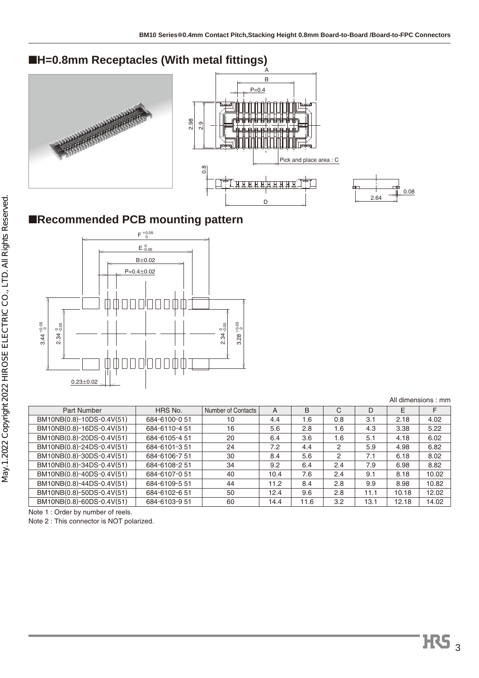# ■**H=0.8mm Receptacles (With metal fittings)**



# ■**Recommended PCB mounting pattern**



|                           |               |                    |      |      |     |      |       | All dimensions: mm |
|---------------------------|---------------|--------------------|------|------|-----|------|-------|--------------------|
| Part Number               | HRS No.       | Number of Contacts | A    | B    | C   | D    | Е     | F                  |
| BM10NB(0.8)-10DS-0.4V(51) | 684-6100-051  | 10                 | 4.4  | 1.6  | 0.8 | 3.1  | 2.18  | 4.02               |
| BM10NB(0.8)-16DS-0.4V(51) | 684-6110-451  | 16                 | 5.6  | 2.8  | 1.6 | 4.3  | 3.38  | 5.22               |
| BM10NB(0.8)-20DS-0.4V(51) | 684-6105-4 51 | 20                 | 6.4  | 3.6  | 1.6 | 5.1  | 4.18  | 6.02               |
| BM10NB(0.8)-24DS-0.4V(51) | 684-6101-351  | 24                 | 7.2  | 4.4  | 2   | 5.9  | 4.98  | 6.82               |
| BM10NB(0.8)-30DS-0.4V(51) | 684-6106-7 51 | 30                 | 8.4  | 5.6  | 2   | 7.1  | 6.18  | 8.02               |
| BM10NB(0.8)-34DS-0.4V(51) | 684-6108-2 51 | 34                 | 9.2  | 6.4  | 2.4 | 7.9  | 6.98  | 8.82               |
| BM10NB(0.8)-40DS-0.4V(51) | 684-6107-051  | 40                 | 10.4 | 7.6  | 2.4 | 9.1  | 8.18  | 10.02              |
| BM10NB(0.8)-44DS-0.4V(51) | 684-6109-5 51 | 44                 | 11.2 | 8.4  | 2.8 | 9.9  | 8.98  | 10.82              |
| BM10NB(0.8)-50DS-0.4V(51) | 684-6102-651  | 50                 | 12.4 | 9.6  | 2.8 | 11.1 | 10.18 | 12.02              |
| BM10NB(0.8)-60DS-0.4V(51) | 684-6103-951  | 60                 | 14.4 | 11.6 | 3.2 | 13.1 | 12.18 | 14.02              |

Note 1: Order by number of reels.

note 11 order by number of reeds.<br>Note 2 : This connector is NOT no Note 2 : This connector is NOT polarized. 0.08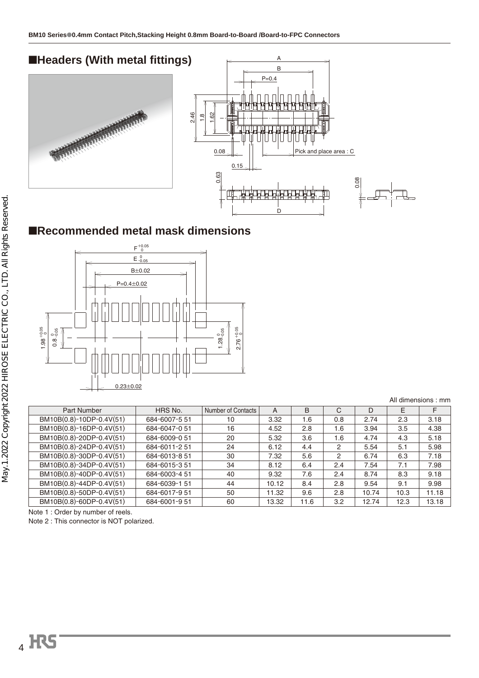

### ■**Recommended metal mask dimensions**



|                          |               |                    |       |      |     |       |      | All dimensions: mm |
|--------------------------|---------------|--------------------|-------|------|-----|-------|------|--------------------|
| Part Number              | HRS No.       | Number of Contacts | A     | B    | C   | D     | E    | F                  |
| BM10B(0.8)-10DP-0.4V(51) | 684-6007-551  | 10                 | 3.32  | 1.6  | 0.8 | 2.74  | 2.3  | 3.18               |
| BM10B(0.8)-16DP-0.4V(51) | 684-6047-051  | 16                 | 4.52  | 2.8  | 1.6 | 3.94  | 3.5  | 4.38               |
| BM10B(0.8)-20DP-0.4V(51) | 684-6009-0 51 | 20                 | 5.32  | 3.6  | 1.6 | 4.74  | 4.3  | 5.18               |
| BM10B(0.8)-24DP-0.4V(51) | 684-6011-2 51 | 24                 | 6.12  | 4.4  | 2   | 5.54  | 5.1  | 5.98               |
| BM10B(0.8)-30DP-0.4V(51) | 684-6013-8 51 | 30                 | 7.32  | 5.6  | 2   | 6.74  | 6.3  | 7.18               |
| BM10B(0.8)-34DP-0.4V(51) | 684-6015-351  | 34                 | 8.12  | 6.4  | 2.4 | 7.54  | 7.1  | 7.98               |
| BM10B(0.8)-40DP-0.4V(51) | 684-6003-4 51 | 40                 | 9.32  | 7.6  | 2.4 | 8.74  | 8.3  | 9.18               |
| BM10B(0.8)-44DP-0.4V(51) | 684-6039-1 51 | 44                 | 10.12 | 8.4  | 2.8 | 9.54  | 9.1  | 9.98               |
| BM10B(0.8)-50DP-0.4V(51) | 684-6017-951  | 50                 | 11.32 | 9.6  | 2.8 | 10.74 | 10.3 | 11.18              |
| BM10B(0.8)-60DP-0.4V(51) | 684-6001-951  | 60                 | 13.32 | 11.6 | 3.2 | 12.74 | 12.3 | 13.18              |

Note 1: Order by number of reels.

note 11 order by number of reeds.<br>Note 2 : This connector is NOT no Note 2 : This connector is NOT polarized.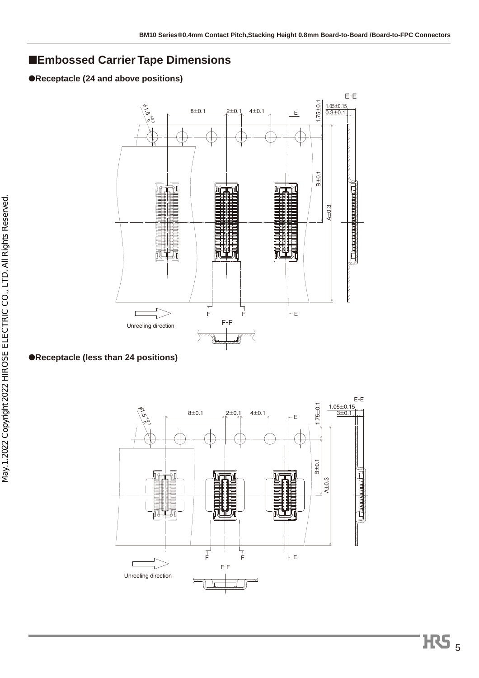### ■**Embossed Carrier Tape Dimensions**

#### ●**Receptacle (24 and above positions)**





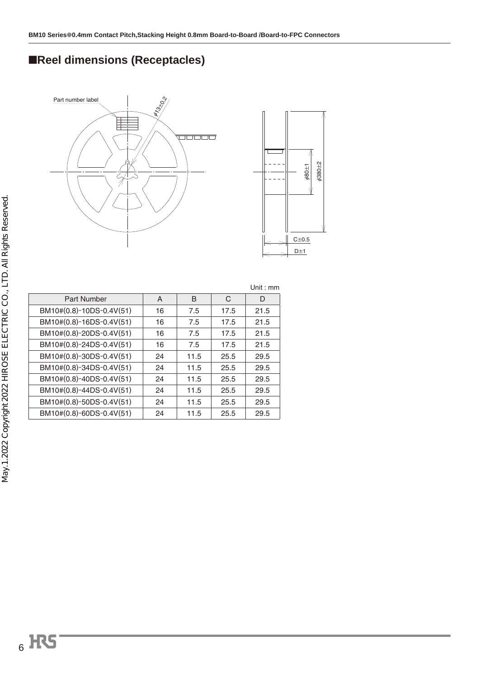# ■**Reel dimensions (Receptacles)**





|                          |    |      |      | Unit:mm |
|--------------------------|----|------|------|---------|
| Part Number              | A  | B    | C    | D       |
| BM10#(0.8)-10DS-0.4V(51) | 16 | 7.5  | 17.5 | 21.5    |
| BM10#(0.8)-16DS-0.4V(51) | 16 | 7.5  | 17.5 | 21.5    |
| BM10#(0.8)-20DS-0.4V(51) | 16 | 7.5  | 17.5 | 21.5    |
| BM10#(0.8)-24DS-0.4V(51) | 16 | 7.5  | 17.5 | 21.5    |
| BM10#(0.8)-30DS-0.4V(51) | 24 | 11.5 | 25.5 | 29.5    |
| BM10#(0.8)-34DS-0.4V(51) | 24 | 11.5 | 25.5 | 29.5    |
| BM10#(0.8)-40DS-0.4V(51) | 24 | 11.5 | 25.5 | 29.5    |
| BM10#(0.8)-44DS-0.4V(51) | 24 | 11.5 | 25.5 | 29.5    |
| BM10#(0.8)-50DS-0.4V(51) | 24 | 11.5 | 25.5 | 29.5    |
| BM10#(0.8)-60DS-0.4V(51) | 24 | 11.5 | 25.5 | 29.5    |
|                          |    |      |      |         |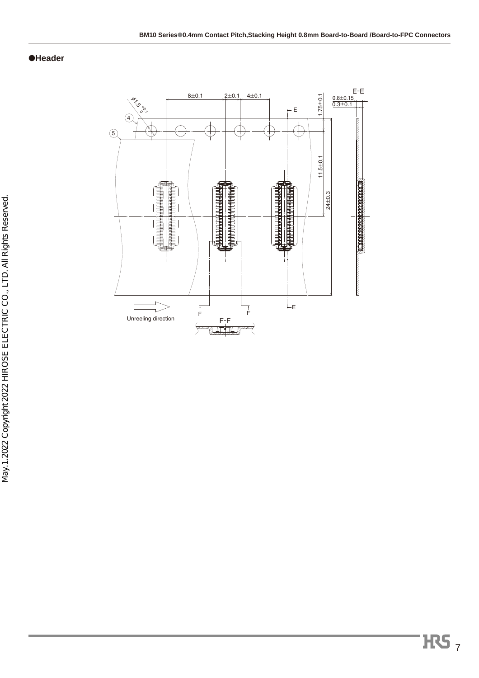#### ●**Header**

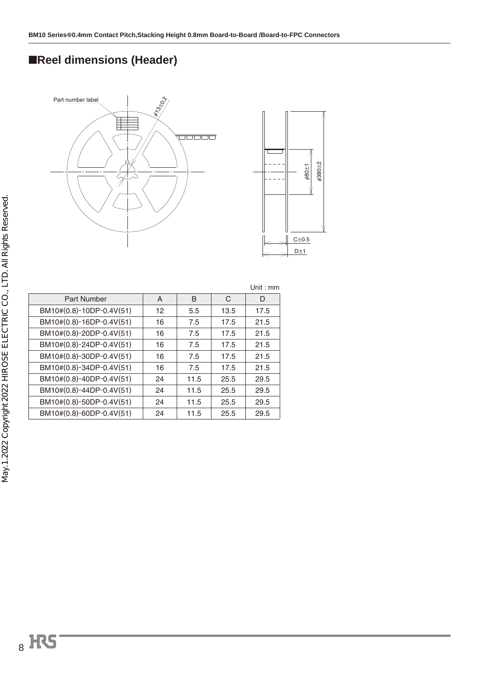# ■**Reel dimensions (Header)**





|                          |                 |      |      | Unit: $mm$ |
|--------------------------|-----------------|------|------|------------|
| Part Number              | A               | B    | C    | D          |
| BM10#(0.8)-10DP-0.4V(51) | 12 <sup>2</sup> | 5.5  | 13.5 | 17.5       |
| BM10#(0.8)-16DP-0.4V(51) | 16              | 7.5  | 17.5 | 21.5       |
| BM10#(0.8)-20DP-0.4V(51) | 16              | 7.5  | 17.5 | 21.5       |
| BM10#(0.8)-24DP-0.4V(51) | 16              | 7.5  | 17.5 | 21.5       |
| BM10#(0.8)-30DP-0.4V(51) | 16              | 7.5  | 17.5 | 21.5       |
| BM10#(0.8)-34DP-0.4V(51) | 16              | 7.5  | 17.5 | 21.5       |
| BM10#(0.8)-40DP-0.4V(51) | 24              | 11.5 | 25.5 | 29.5       |
| BM10#(0.8)-44DP-0.4V(51) | 24              | 11.5 | 25.5 | 29.5       |
| BM10#(0.8)-50DP-0.4V(51) | 24              | 11.5 | 25.5 | 29.5       |
| BM10#(0.8)-60DP-0.4V(51) | 24              | 11.5 | 25.5 | 29.5       |
|                          |                 |      |      |            |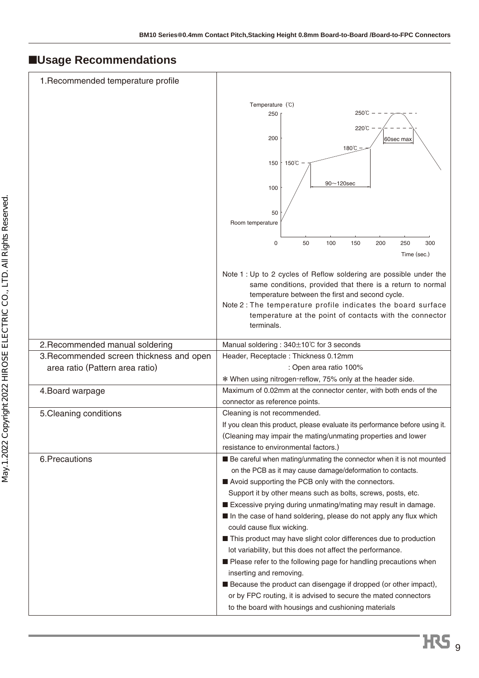# ■**Usage Recommendations**

| 1. Recommended temperature profile                                          |                                                                                                                                                                                                                                                                                                                                                                                                                                                                                                                                                                                                                                                                                                                                                                                                                                                                  |
|-----------------------------------------------------------------------------|------------------------------------------------------------------------------------------------------------------------------------------------------------------------------------------------------------------------------------------------------------------------------------------------------------------------------------------------------------------------------------------------------------------------------------------------------------------------------------------------------------------------------------------------------------------------------------------------------------------------------------------------------------------------------------------------------------------------------------------------------------------------------------------------------------------------------------------------------------------|
|                                                                             | Temperature (°C)<br>250℃<br>250<br>220℃<br>200<br>60sec max<br>180°C<br>$150^{\circ}$ C<br>150<br>$90 - 120$ sec<br>100<br>50<br>Room temperature                                                                                                                                                                                                                                                                                                                                                                                                                                                                                                                                                                                                                                                                                                                |
|                                                                             | 0<br>50<br>100<br>150<br>250<br>300<br>200<br>Time (sec.)                                                                                                                                                                                                                                                                                                                                                                                                                                                                                                                                                                                                                                                                                                                                                                                                        |
|                                                                             | Note 1 : Up to 2 cycles of Reflow soldering are possible under the<br>same conditions, provided that there is a return to normal<br>temperature between the first and second cycle.<br>Note 2: The temperature profile indicates the board surface<br>temperature at the point of contacts with the connector<br>terminals.                                                                                                                                                                                                                                                                                                                                                                                                                                                                                                                                      |
| 2. Recommended manual soldering                                             | Manual soldering : 340±10℃ for 3 seconds                                                                                                                                                                                                                                                                                                                                                                                                                                                                                                                                                                                                                                                                                                                                                                                                                         |
| 3. Recommended screen thickness and open<br>area ratio (Pattern area ratio) | Header, Receptacle: Thickness 0.12mm<br>: Open area ratio 100%<br>* When using nitrogen-reflow, 75% only at the header side.                                                                                                                                                                                                                                                                                                                                                                                                                                                                                                                                                                                                                                                                                                                                     |
| 4. Board warpage                                                            | Maximum of 0.02mm at the connector center, with both ends of the<br>connector as reference points.                                                                                                                                                                                                                                                                                                                                                                                                                                                                                                                                                                                                                                                                                                                                                               |
| 5. Cleaning conditions                                                      | Cleaning is not recommended.<br>If you clean this product, please evaluate its performance before using it.<br>(Cleaning may impair the mating/unmating properties and lower<br>resistance to environmental factors.)                                                                                                                                                                                                                                                                                                                                                                                                                                                                                                                                                                                                                                            |
| 6.Precautions                                                               | Be careful when mating/unmating the connector when it is not mounted<br>on the PCB as it may cause damage/deformation to contacts.<br>Avoid supporting the PCB only with the connectors.<br>Support it by other means such as bolts, screws, posts, etc.<br>Excessive prying during unmating/mating may result in damage.<br>In the case of hand soldering, please do not apply any flux which<br>could cause flux wicking.<br>This product may have slight color differences due to production<br>lot variability, but this does not affect the performance.<br>Please refer to the following page for handling precautions when<br>inserting and removing.<br><b>Because the product can disengage if dropped (or other impact),</b><br>or by FPC routing, it is advised to secure the mated connectors<br>to the board with housings and cushioning materials |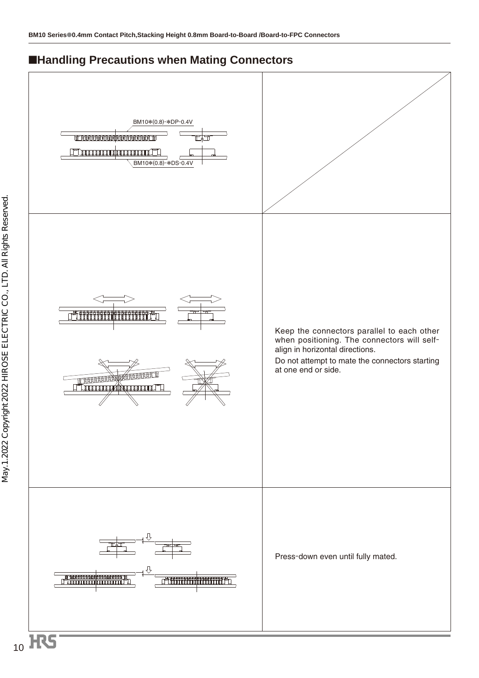### ■**Handling Precautions when Mating Connectors**

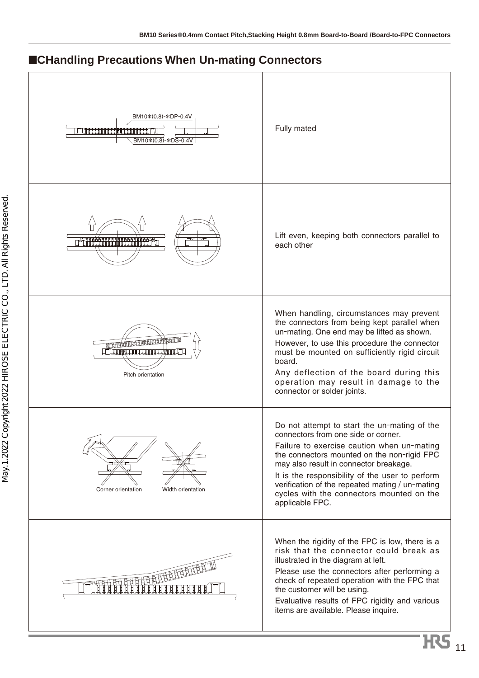# ■**CHandling Precautions When Un-mating Connectors**

| BM10*(0.8)-*DP-0.4V<br><u>TIIIIIIIIIIIIIIIIIII</u><br>BM10*(0.8)-*DS-0.4V              | Fully mated                                                                                                                                                                                                                                                                                                                                                                                      |
|----------------------------------------------------------------------------------------|--------------------------------------------------------------------------------------------------------------------------------------------------------------------------------------------------------------------------------------------------------------------------------------------------------------------------------------------------------------------------------------------------|
|                                                                                        | Lift even, keeping both connectors parallel to<br>each other                                                                                                                                                                                                                                                                                                                                     |
| <u>I AAACAAAAAAAAAAAAAA</u><br><u>Тин кулдандардын таманда та</u><br>Pitch orientation | When handling, circumstances may prevent<br>the connectors from being kept parallel when<br>un-mating. One end may be lifted as shown.<br>However, to use this procedure the connector<br>must be mounted on sufficiently rigid circuit<br>board.<br>Any deflection of the board during this<br>operation may result in damage to the<br>connector or solder joints.                             |
| Corner orientation<br>Width orientation                                                | Do not attempt to start the un-mating of the<br>connectors from one side or corner.<br>Failure to exercise caution when un-mating<br>the connectors mounted on the non-rigid FPC<br>may also result in connector breakage.<br>It is the responsibility of the user to perform<br>verification of the repeated mating / un-mating<br>cycles with the connectors mounted on the<br>applicable FPC. |
| <b>THE CONTRACTOR</b>                                                                  | When the rigidity of the FPC is low, there is a<br>risk that the connector could break as<br>illustrated in the diagram at left.<br>Please use the connectors after performing a<br>check of repeated operation with the FPC that<br>the customer will be using.<br>Evaluative results of FPC rigidity and various<br>items are available. Please inquire.                                       |